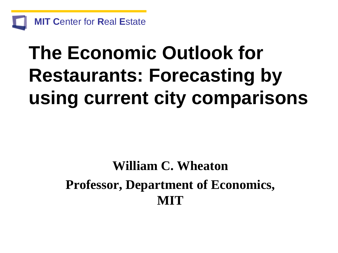

# **The Economic Outlook for Restaurants: Forecasting by using current city comparisons**

# **William C. Wheaton Professor, Department of Economics, MIT**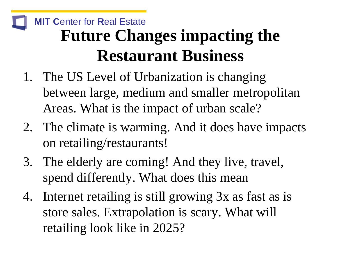# **MIT C**enter for **R**eal **E**state **Future Changes impacting the Restaurant Business**

- 1. The US Level of Urbanization is changing between large, medium and smaller metropolitan Areas. What is the impact of urban scale?
- 2. The climate is warming. And it does have impacts on retailing/restaurants!
- 3. The elderly are coming! And they live, travel, spend differently. What does this mean
- 4. Internet retailing is still growing 3x as fast as is store sales. Extrapolation is scary. What will retailing look like in 2025?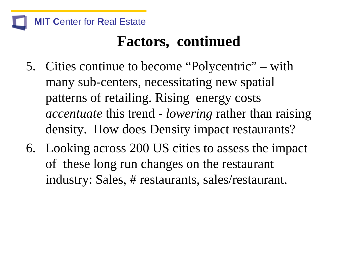

# **Factors, continued**

- 5. Cities continue to become "Polycentric" with many sub-centers, necessitating new spatial patterns of retailing. Rising energy costs *accentuate* this trend - *lowering* rather than raising density. How does Density impact restaurants?
- 6. Looking across 200 US cities to assess the impact of these long run changes on the restaurant industry: Sales, # restaurants, sales/restaurant.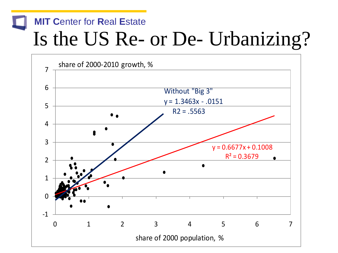# **MIT C**enter for **R**eal **E**state Is the US Re- or De- Urbanizing?

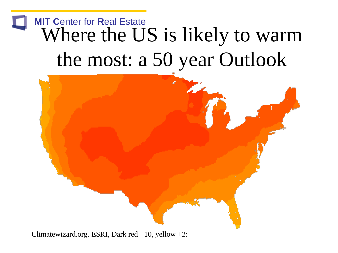# **MIT C**enter for **R**eal **E**state Where the US is likely to warm the most: a 50 year Outlook



Climatewizard.org. ESRI, Dark red  $+10$ , yellow  $+2$ :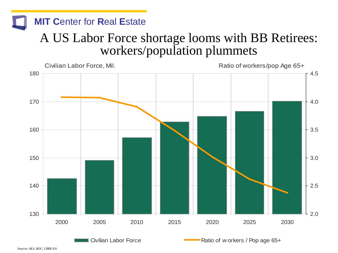### A US Labor Force shortage looms with BB Retirees: workers/population plummets

**MIT C**enter for **R**eal **E**state



*Sources: BLS, BOC, CBRE-EA*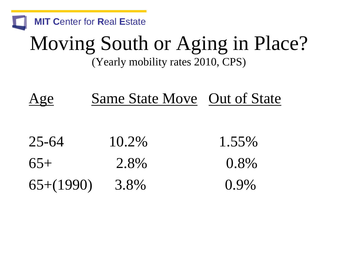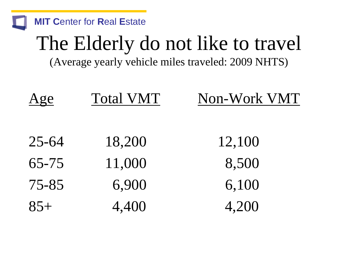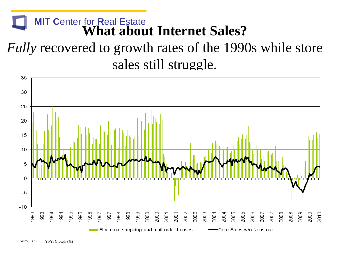#### **MIT C**enter for **R**eal **E**state **What about Internet Sales?**

*Fully* recovered to growth rates of the 1990s while store sales still struggle.

![](_page_8_Figure_2.jpeg)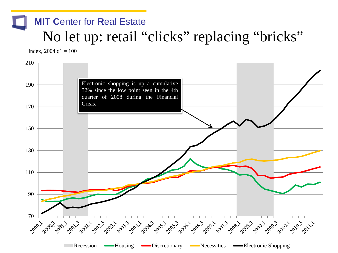### **MIT C**enter for **R**eal **E**state No let up: retail "clicks" replacing "bricks"

Index,  $2004$  q $1 = 100$ 

![](_page_9_Figure_2.jpeg)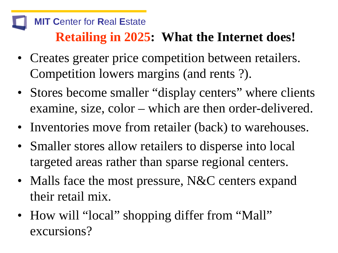### **Retailing in 2025: What the Internet does!**

- Creates greater price competition between retailers. Competition lowers margins (and rents ?).
- Stores become smaller "display centers" where clients examine, size, color – which are then order-delivered.
- Inventories move from retailer (back) to warehouses.
- Smaller stores allow retailers to disperse into local targeted areas rather than sparse regional centers.
- Malls face the most pressure, N&C centers expand their retail mix.
- How will "local" shopping differ from "Mall" excursions?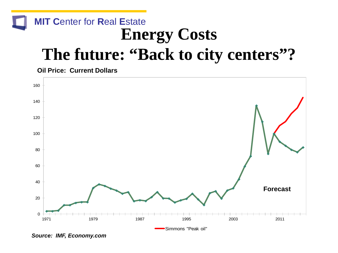### **MIT C**enter for **R**eal **E**state **Energy Costs The future: "Back to city centers"?**

**Oil Price: Current Dollars**

![](_page_11_Figure_2.jpeg)

*Source: IMF, Economy.com*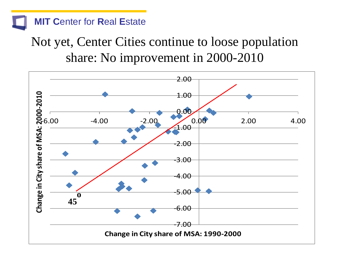### Not yet, Center Cities continue to loose population share: No improvement in 2000-2010

![](_page_12_Figure_2.jpeg)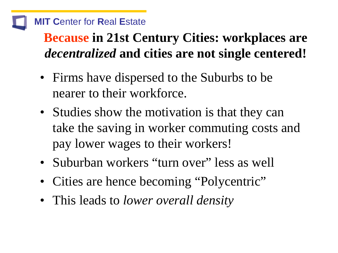**Because in 21st Century Cities: workplaces are**  *decentralized* **and cities are not single centered!**

- Firms have dispersed to the Suburbs to be nearer to their workforce.
- Studies show the motivation is that they can take the saving in worker commuting costs and pay lower wages to their workers!
- Suburban workers "turn over" less as well
- Cities are hence becoming "Polycentric"
- This leads to *lower overall density*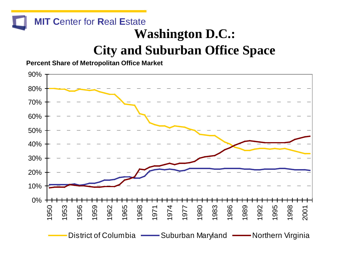#### **MIT C**enter for **R**eal **E**state **Washington D.C.: City and Suburban Office Space**

**Percent Share of Metropolitan Office Market**

![](_page_14_Figure_2.jpeg)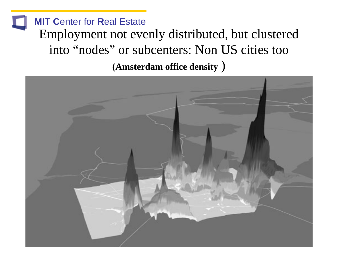**MIT C**enter for **R**eal **E**state Employment not evenly distributed, but clustered into "nodes" or subcenters: Non US cities too **(Amsterdam office density** )

![](_page_15_Picture_1.jpeg)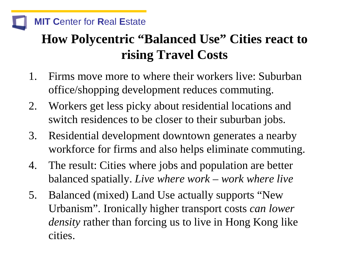### **How Polycentric "Balanced Use" Cities react to rising Travel Costs**

- 1. Firms move more to where their workers live: Suburban office/shopping development reduces commuting.
- 2. Workers get less picky about residential locations and switch residences to be closer to their suburban jobs.
- 3. Residential development downtown generates a nearby workforce for firms and also helps eliminate commuting.
- 4. The result: Cities where jobs and population are better balanced spatially. *Live where work – work where live*
- 5. Balanced (mixed) Land Use actually supports "New Urbanism". Ironically higher transport costs *can lower density* rather than forcing us to live in Hong Kong like cities.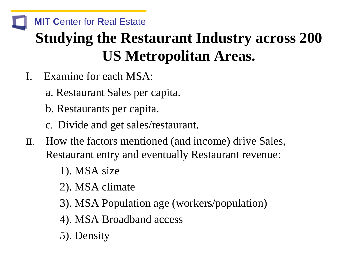#### **MIT C**enter for **R**eal **E**state **Studying the Restaurant Industry across 200**

# **US Metropolitan Areas.**

- I. Examine for each MSA:
	- a. Restaurant Sales per capita.
	- b. Restaurants per capita.
	- c. Divide and get sales/restaurant.
- II. How the factors mentioned (and income) drive Sales, Restaurant entry and eventually Restaurant revenue:
	- 1). MSA size
	- 2). MSA climate
	- 3). MSA Population age (workers/population)
	- 4). MSA Broadband access
	- 5). Density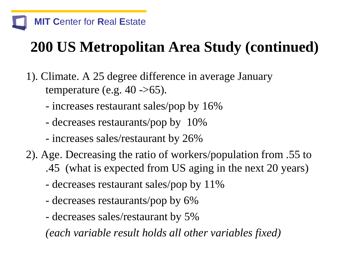# **200 US Metropolitan Area Study (continued)**

- 1). Climate. A 25 degree difference in average January temperature (e.g.  $40 -565$ ).
	- increases restaurant sales/pop by 16%
	- decreases restaurants/pop by 10%
	- increases sales/restaurant by 26%
- 2). Age. Decreasing the ratio of workers/population from .55 to .45 (what is expected from US aging in the next 20 years)
	- decreases restaurant sales/pop by 11%
	- decreases restaurants/pop by 6%
	- decreases sales/restaurant by 5%

*(each variable result holds all other variables fixed)*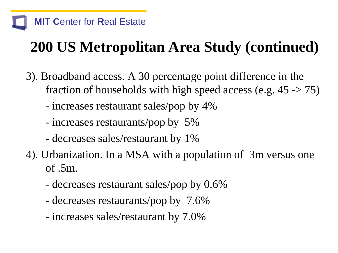# **200 US Metropolitan Area Study (continued)**

- 3). Broadband access. A 30 percentage point difference in the fraction of households with high speed access (e.g.  $45 \rightarrow 75$ )
	- increases restaurant sales/pop by 4%
	- increases restaurants/pop by 5%
	- decreases sales/restaurant by 1%
- 4). Urbanization. In a MSA with a population of 3m versus one of .5m.
	- decreases restaurant sales/pop by 0.6%
	- decreases restaurants/pop by 7.6%
	- increases sales/restaurant by 7.0%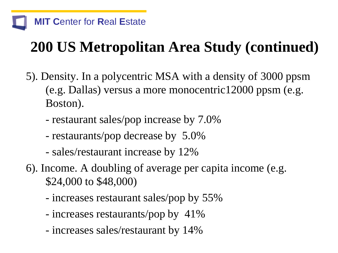# **200 US Metropolitan Area Study (continued)**

- 5). Density. In a polycentric MSA with a density of 3000 ppsm (e.g. Dallas) versus a more monocentric12000 ppsm (e.g. Boston).
	- restaurant sales/pop increase by 7.0%
	- restaurants/pop decrease by 5.0%
	- sales/restaurant increase by 12%
- 6). Income. A doubling of average per capita income (e.g. \$24,000 to \$48,000)
	- increases restaurant sales/pop by 55%
	- increases restaurants/pop by 41%
	- increases sales/restaurant by 14%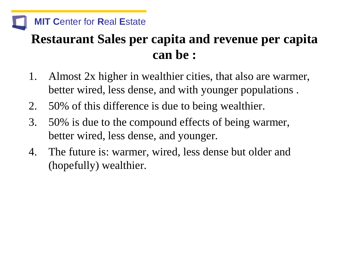### **Restaurant Sales per capita and revenue per capita can be :**

- 1. Almost 2x higher in wealthier cities, that also are warmer, better wired, less dense, and with younger populations .
- 2. 50% of this difference is due to being wealthier.
- 3. 50% is due to the compound effects of being warmer, better wired, less dense, and younger.
- 4. The future is: warmer, wired, less dense but older and (hopefully) wealthier.